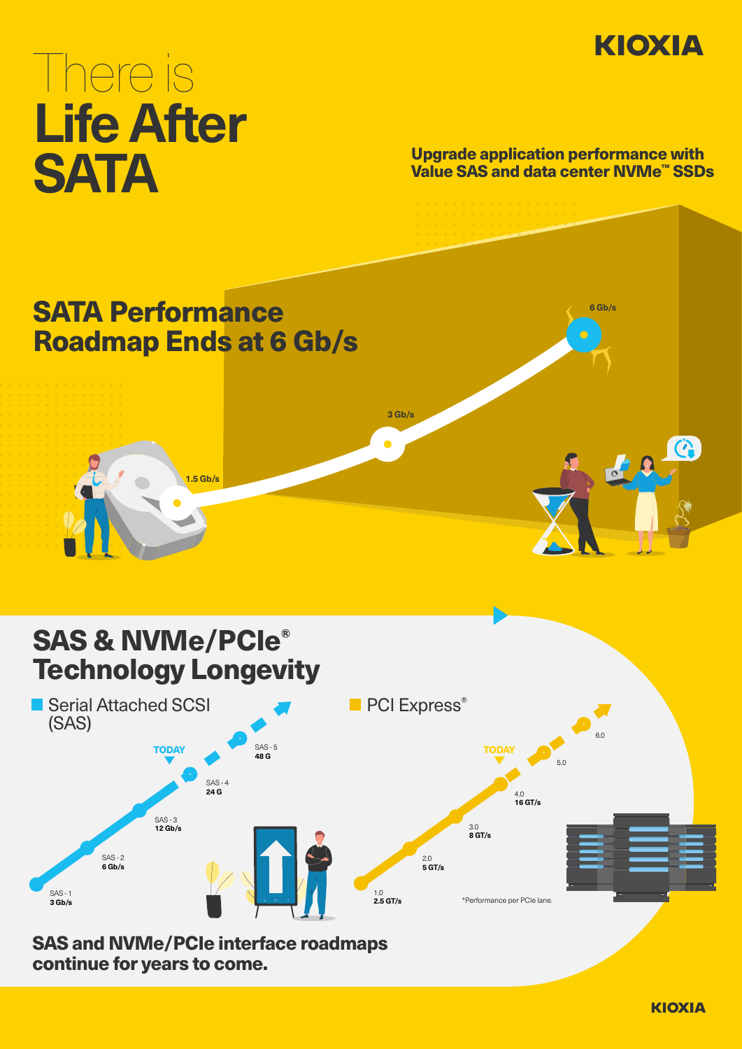

# There is **Life After SATA** Upgrade application performance with<br>Value SAS and data center NVMe<sup>rs</sup> SSD

Value SAS and data center NVMe™ SSDs



**KIOXIA**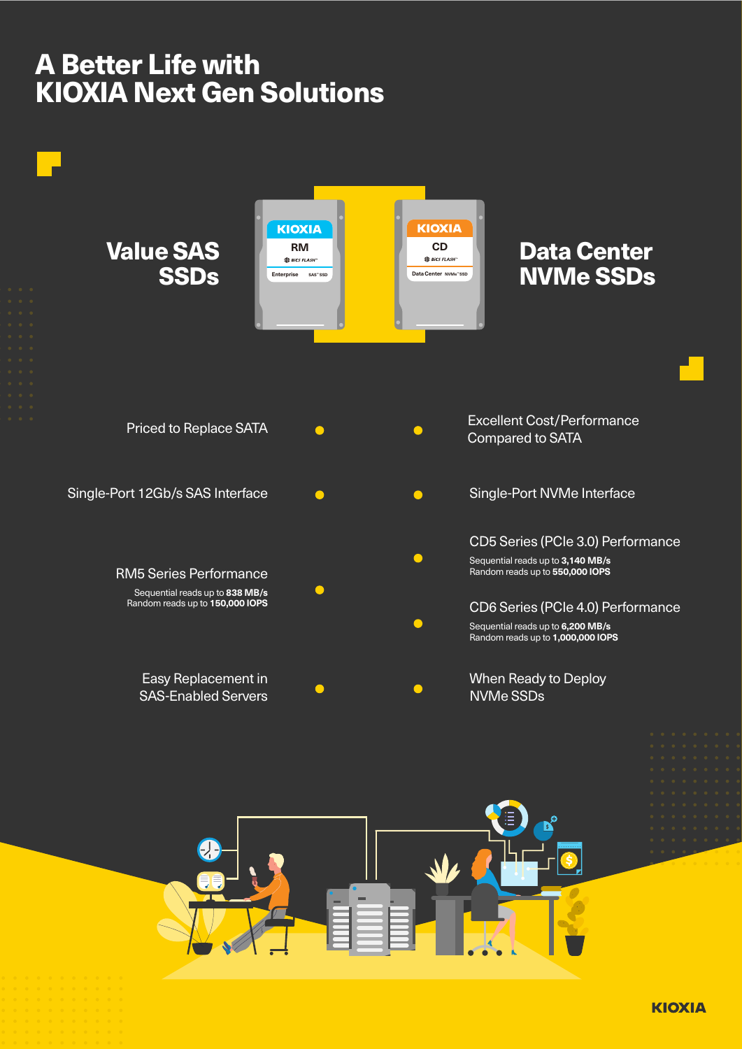## A Better Life with KIOXIA Next Gen Solutions